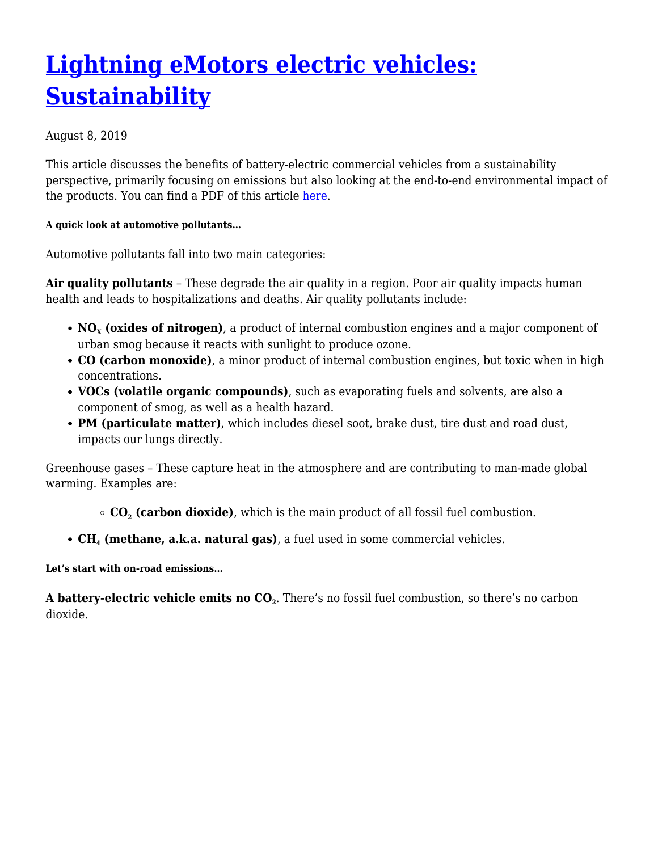# **[Lightning eMotors electric vehicles:](https://lightningemotors.com/lightning-systems-electric-vehicles-sustainability/) [Sustainability](https://lightningemotors.com/lightning-systems-electric-vehicles-sustainability/)**

## August 8, 2019

This article discusses the benefits of battery-electric commercial vehicles from a sustainability perspective, primarily focusing on emissions but also looking at the end-to-end environmental impact of the products. You can find a PDF of this article [here.](https://lightningemotors.com//wp-content/uploads/2019/11/sustainability_white_paper_Aug2019.pdf)

### **A quick look at automotive pollutants…**

Automotive pollutants fall into two main categories:

**Air quality pollutants** – These degrade the air quality in a region. Poor air quality impacts human health and leads to hospitalizations and deaths. Air quality pollutants include:

- **NO<sup>X</sup> (oxides of nitrogen)**, a product of internal combustion engines and a major component of urban smog because it reacts with sunlight to produce ozone.
- **CO (carbon monoxide)**, a minor product of internal combustion engines, but toxic when in high concentrations.
- **VOCs (volatile organic compounds)**, such as evaporating fuels and solvents, are also a component of smog, as well as a health hazard.
- **PM (particulate matter)**, which includes diesel soot, brake dust, tire dust and road dust, impacts our lungs directly.

Greenhouse gases – These capture heat in the atmosphere and are contributing to man-made global warming. Examples are:

- **CO<sup>2</sup> (carbon dioxide)**, which is the main product of all fossil fuel combustion.
- **CH<sup>4</sup> (methane, a.k.a. natural gas)**, a fuel used in some commercial vehicles.

**Let's start with on-road emissions…**

**A battery-electric vehicle emits no CO<sup>2</sup>** . There's no fossil fuel combustion, so there's no carbon dioxide.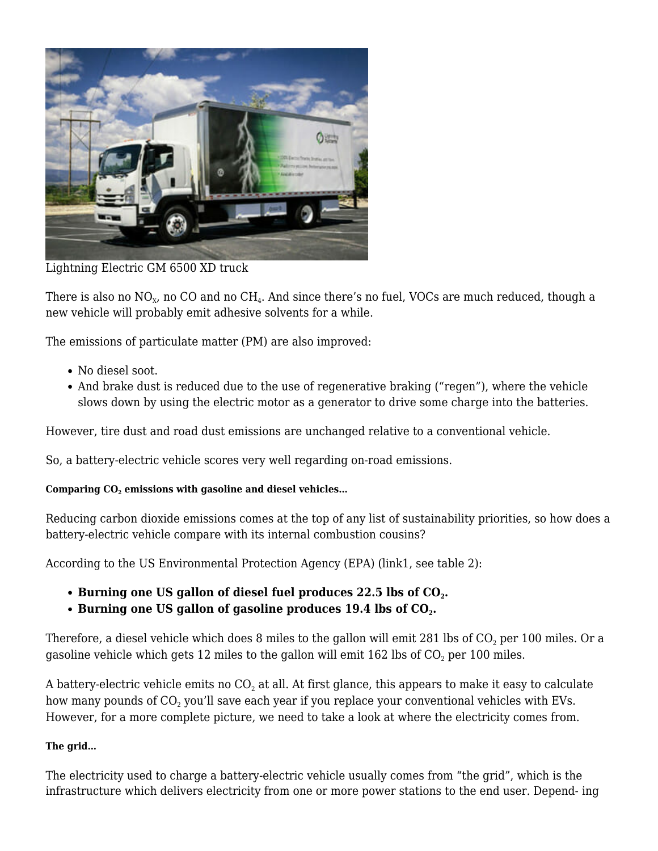

Lightning Electric GM 6500 XD truck

There is also no  $\rm NO_{\rm x}$ , no CO and no CH $_{4}$ . And since there's no fuel, VOCs are much reduced, though a new vehicle will probably emit adhesive solvents for a while.

The emissions of particulate matter (PM) are also improved:

- No diesel soot.
- And brake dust is reduced due to the use of regenerative braking ("regen"), where the vehicle slows down by using the electric motor as a generator to drive some charge into the batteries.

However, tire dust and road dust emissions are unchanged relative to a conventional vehicle.

So, a battery-electric vehicle scores very well regarding on-road emissions.

### **Comparing CO<sup>2</sup> emissions with gasoline and diesel vehicles…**

Reducing carbon dioxide emissions comes at the top of any list of sustainability priorities, so how does a battery-electric vehicle compare with its internal combustion cousins?

According to the US Environmental Protection Agency (EPA) (link1, see table 2):

- **Burning one US gallon of diesel fuel produces 22.5 lbs of CO<sup>2</sup> .**
- **Burning one US gallon of gasoline produces 19.4 lbs of CO<sup>2</sup> .**

Therefore, a diesel vehicle which does 8 miles to the gallon will emit 281 lbs of CO $_{\rm 2}$  per 100 miles. Or a gasoline vehicle which gets 12 miles to the gallon will emit 162 lbs of CO $_{\text{2}}$  per 100 miles.

A battery-electric vehicle emits no CO $_2$  at all. At first glance, this appears to make it easy to calculate how many pounds of CO $_{\scriptscriptstyle 2}$  you'll save each year if you replace your conventional vehicles with EVs. However, for a more complete picture, we need to take a look at where the electricity comes from.

### **The grid…**

The electricity used to charge a battery-electric vehicle usually comes from "the grid", which is the infrastructure which delivers electricity from one or more power stations to the end user. Depend- ing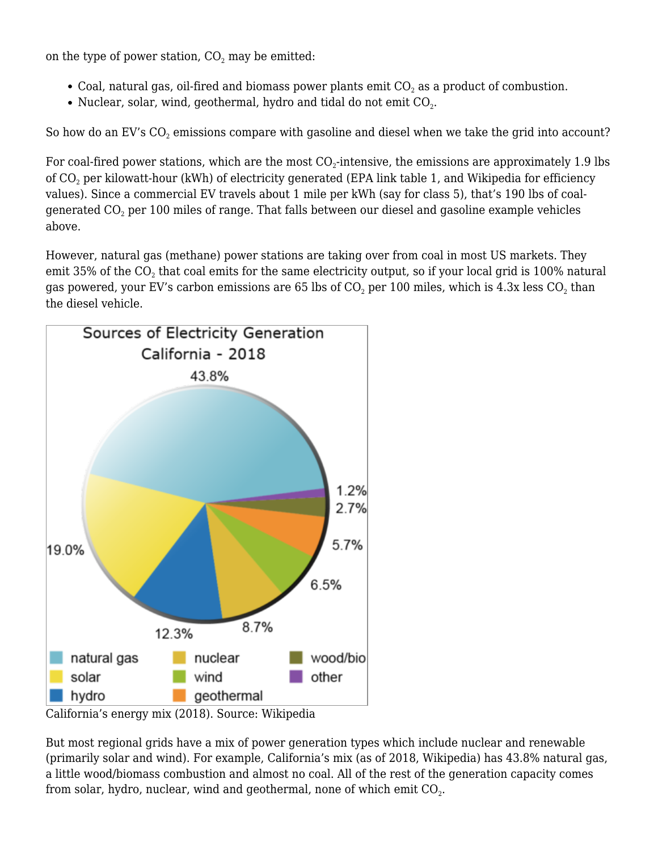on the type of power station,  $CO<sub>2</sub>$  may be emitted:

- Coal, natural gas, oil-fired and biomass power plants emit CO $_2$  as a product of combustion.
- Nuclear, solar, wind, geothermal, hydro and tidal do not emit CO $_{\scriptscriptstyle 2}$ .

So how do an EV's CO $_2$  emissions compare with gasoline and diesel when we take the grid into account?

For coal-fired power stations, which are the most CO $_2$ -intensive, the emissions are approximately 1.9 lbs of CO $_{\rm 2}$  per kilowatt-hour (kWh) of electricity generated (EPA link table 1, and Wikipedia for efficiency values). Since a commercial EV travels about 1 mile per kWh (say for class 5), that's 190 lbs of coalgenerated CO $_{\scriptscriptstyle{2}}$  per 100 miles of range. That falls between our diesel and gasoline example vehicles above.

However, natural gas (methane) power stations are taking over from coal in most US markets. They emit 35% of the CO $_{\tiny 2}$  that coal emits for the same electricity output, so if your local grid is 100% natural gas powered, your EV's carbon emissions are 65 lbs of CO $_{\rm 2}$  per 100 miles, which is 4.3x less CO $_{\rm 2}$  than the diesel vehicle.



California's energy mix (2018). Source: Wikipedia

But most regional grids have a mix of power generation types which include nuclear and renewable (primarily solar and wind). For example, California's mix (as of 2018, Wikipedia) has 43.8% natural gas, a little wood/biomass combustion and almost no coal. All of the rest of the generation capacity comes from solar, hydro, nuclear, wind and geothermal, none of which emit CO $_{\textrm{\tiny{2}}}$ .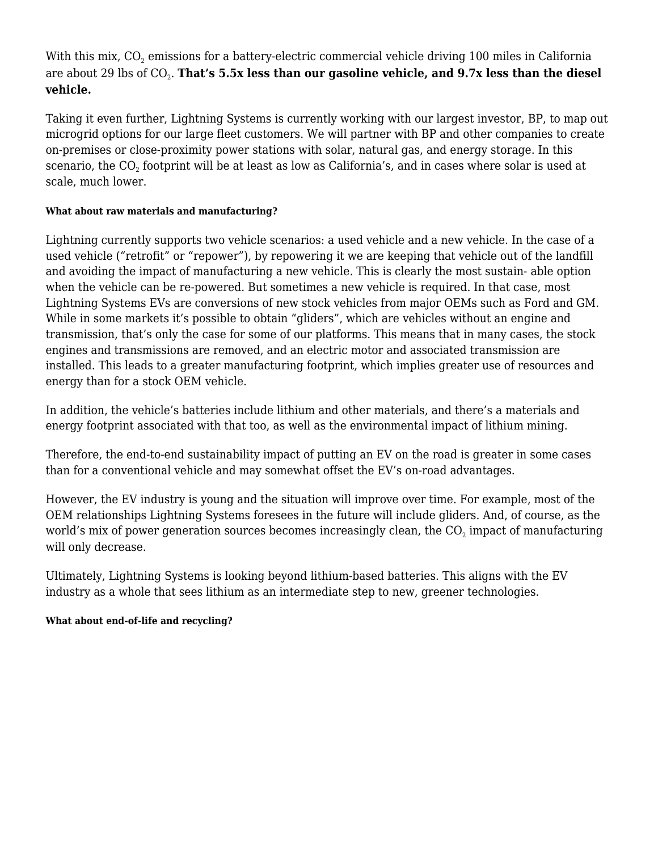With this mix,  $\mathrm{CO}_2$  emissions for a battery-electric commercial vehicle driving 100 miles in California are about 29 lbs of CO<sub>2</sub>. **That's 5.5x less than our gasoline vehicle, and 9.7x less than the diesel vehicle.**

Taking it even further, Lightning Systems is currently working with our largest investor, BP, to map out microgrid options for our large fleet customers. We will partner with BP and other companies to create on-premises or close-proximity power stations with solar, natural gas, and energy storage. In this scenario, the CO $_{\scriptscriptstyle 2}$  footprint will be at least as low as California's, and in cases where solar is used at scale, much lower.

#### **What about raw materials and manufacturing?**

Lightning currently supports two vehicle scenarios: a used vehicle and a new vehicle. In the case of a used vehicle ("retrofit" or "repower"), by repowering it we are keeping that vehicle out of the landfill and avoiding the impact of manufacturing a new vehicle. This is clearly the most sustain- able option when the vehicle can be re-powered. But sometimes a new vehicle is required. In that case, most Lightning Systems EVs are conversions of new stock vehicles from major OEMs such as Ford and GM. While in some markets it's possible to obtain "gliders", which are vehicles without an engine and transmission, that's only the case for some of our platforms. This means that in many cases, the stock engines and transmissions are removed, and an electric motor and associated transmission are installed. This leads to a greater manufacturing footprint, which implies greater use of resources and energy than for a stock OEM vehicle.

In addition, the vehicle's batteries include lithium and other materials, and there's a materials and energy footprint associated with that too, as well as the environmental impact of lithium mining.

Therefore, the end-to-end sustainability impact of putting an EV on the road is greater in some cases than for a conventional vehicle and may somewhat offset the EV's on-road advantages.

However, the EV industry is young and the situation will improve over time. For example, most of the OEM relationships Lightning Systems foresees in the future will include gliders. And, of course, as the world's mix of power generation sources becomes increasingly clean, the CO $_2$  impact of manufacturing will only decrease.

Ultimately, Lightning Systems is looking beyond lithium-based batteries. This aligns with the EV industry as a whole that sees lithium as an intermediate step to new, greener technologies.

#### **What about end-of-life and recycling?**